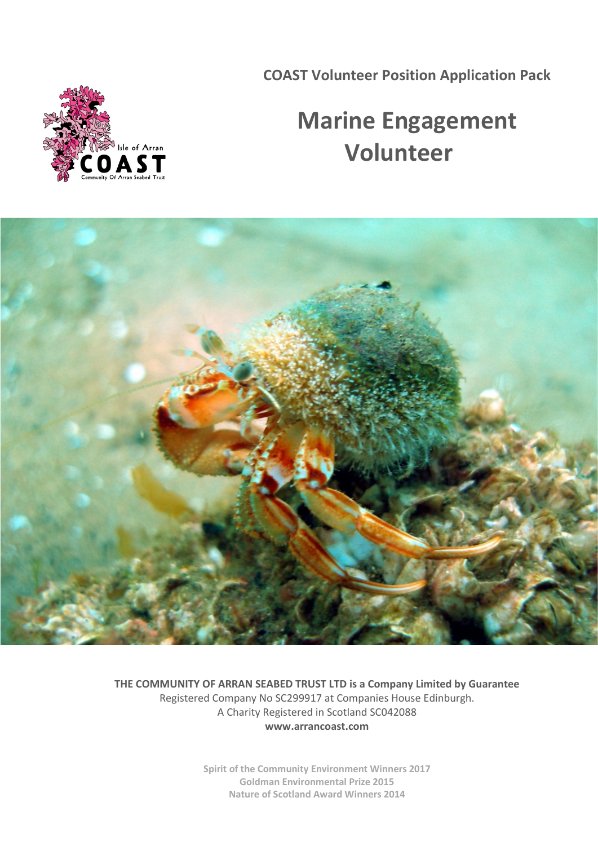**COAST Volunteer Position Application Pack**

# Isle of Arran

# **Marine Engagement Volunteer**



**THE COMMUNITY OF ARRAN SEABED TRUST LTD is a Company Limited by Guarantee** Registered Company No SC299917 at Companies House Edinburgh. A Charity Registered in Scotland SC042088 **[www.arrancoast.com](http://www.arrancoast.com/)**

> **Spirit of the Community Environment Winners 2017 [Goldman Environmental Prize 2015](http://www.goldmanprize.org/recipient/howard-wood/) [Nature of Scotland Award Winners 2014](http://www.rspb.org.uk/whatwedo/scotland/natureofscotland/previous/2014-winners-and-finalists.aspx)**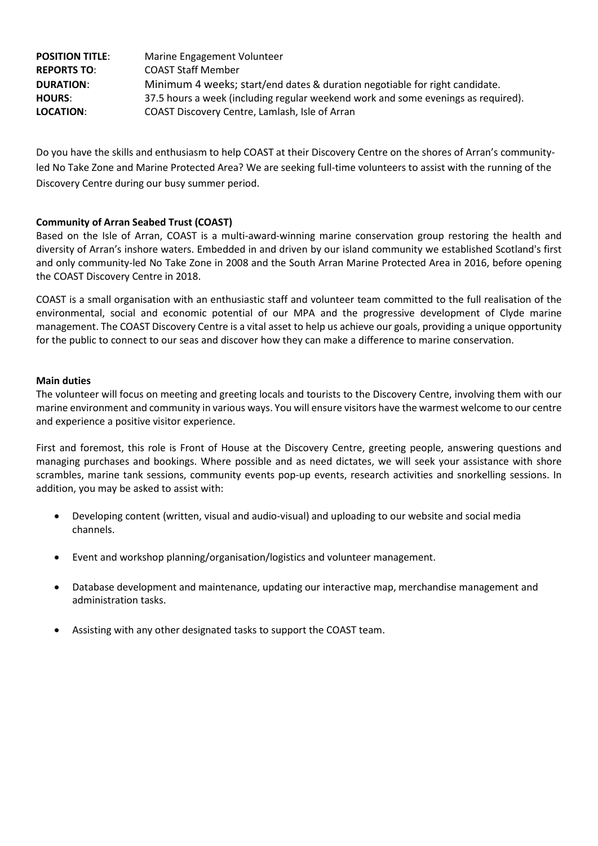| <b>POSITION TITLE:</b> | Marine Engagement Volunteer                                                       |
|------------------------|-----------------------------------------------------------------------------------|
| <b>REPORTS TO:</b>     | <b>COAST Staff Member</b>                                                         |
| <b>DURATION:</b>       | Minimum 4 weeks; start/end dates & duration negotiable for right candidate.       |
| <b>HOURS:</b>          | 37.5 hours a week (including regular weekend work and some evenings as required). |
| <b>LOCATION:</b>       | COAST Discovery Centre, Lamlash, Isle of Arran                                    |

Do you have the skills and enthusiasm to help COAST at their Discovery Centre on the shores of Arran's communityled No Take Zone and Marine Protected Area? We are seeking full-time volunteers to assist with the running of the Discovery Centre during our busy summer period.

#### **Community of Arran Seabed Trust (COAST)**

Based on the Isle of Arran, COAST is a multi-award-winning marine conservation group restoring the health and diversity of Arran's inshore waters. Embedded in and driven by our island community we established Scotland's first and only community-led No Take Zone in 2008 and the South Arran Marine Protected Area in 2016, before opening the COAST Discovery Centre in 2018.

COAST is a small organisation with an enthusiastic staff and volunteer team committed to the full realisation of the environmental, social and economic potential of our MPA and the progressive development of Clyde marine management. The COAST Discovery Centre is a vital asset to help us achieve our goals, providing a unique opportunity for the public to connect to our seas and discover how they can make a difference to marine conservation.

#### **Main duties**

The volunteer will focus on meeting and greeting locals and tourists to the Discovery Centre, involving them with our marine environment and community in various ways. You will ensure visitors have the warmest welcome to our centre and experience a positive visitor experience.

First and foremost, this role is Front of House at the Discovery Centre, greeting people, answering questions and managing purchases and bookings. Where possible and as need dictates, we will seek your assistance with shore scrambles, marine tank sessions, community events pop-up events, research activities and snorkelling sessions. In addition, you may be asked to assist with:

- Developing content (written, visual and audio-visual) and uploading to our website and social media channels.
- Event and workshop planning/organisation/logistics and volunteer management.
- Database development and maintenance, updating our interactive map, merchandise management and administration tasks.
- Assisting with any other designated tasks to support the COAST team.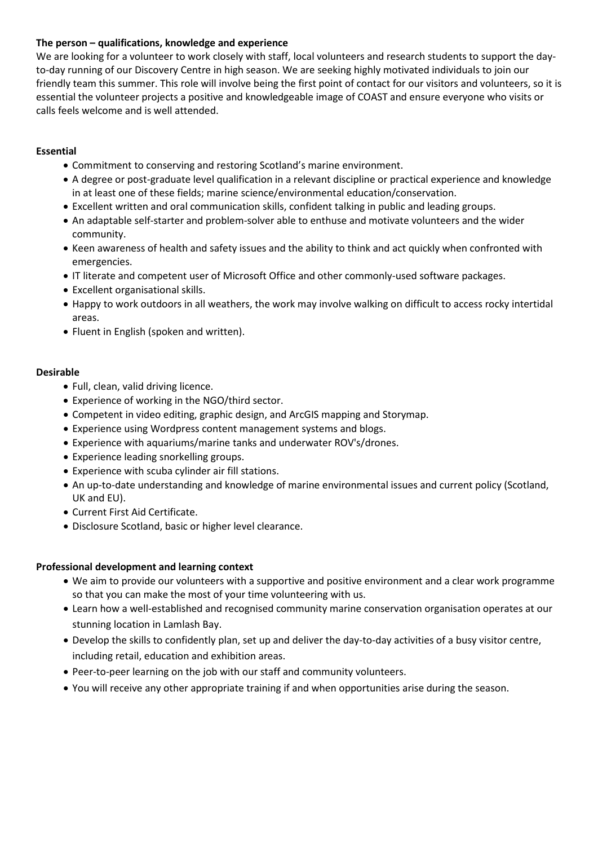## **The person – qualifications, knowledge and experience**

We are looking for a volunteer to work closely with staff, local volunteers and research students to support the dayto-day running of our Discovery Centre in high season. We are seeking highly motivated individuals to join our friendly team this summer. This role will involve being the first point of contact for our visitors and volunteers, so it is essential the volunteer projects a positive and knowledgeable image of COAST and ensure everyone who visits or calls feels welcome and is well attended.

#### **Essential**

- Commitment to conserving and restoring Scotland's marine environment.
- A degree or post-graduate level qualification in a relevant discipline or practical experience and knowledge in at least one of these fields; marine science/environmental education/conservation.
- Excellent written and oral communication skills, confident talking in public and leading groups.
- An adaptable self-starter and problem-solver able to enthuse and motivate volunteers and the wider community.
- Keen awareness of health and safety issues and the ability to think and act quickly when confronted with emergencies.
- IT literate and competent user of Microsoft Office and other commonly-used software packages.
- Excellent organisational skills.
- Happy to work outdoors in all weathers, the work may involve walking on difficult to access rocky intertidal areas.
- Fluent in English (spoken and written).

#### **Desirable**

- Full, clean, valid driving licence.
- Experience of working in the NGO/third sector.
- Competent in video editing, graphic design, and ArcGIS mapping and Storymap.
- Experience using Wordpress content management systems and blogs.
- Experience with aquariums/marine tanks and underwater ROV's/drones.
- Experience leading snorkelling groups.
- Experience with scuba cylinder air fill stations.
- An up-to-date understanding and knowledge of marine environmental issues and current policy (Scotland, UK and EU).
- Current First Aid Certificate.
- Disclosure Scotland, basic or higher level clearance.

#### **Professional development and learning context**

- We aim to provide our volunteers with a supportive and positive environment and a clear work programme so that you can make the most of your time volunteering with us.
- Learn how a well-established and recognised community marine conservation organisation operates at our stunning location in Lamlash Bay.
- Develop the skills to confidently plan, set up and deliver the day-to-day activities of a busy visitor centre, including retail, education and exhibition areas.
- Peer-to-peer learning on the job with our staff and community volunteers.
- You will receive any other appropriate training if and when opportunities arise during the season.